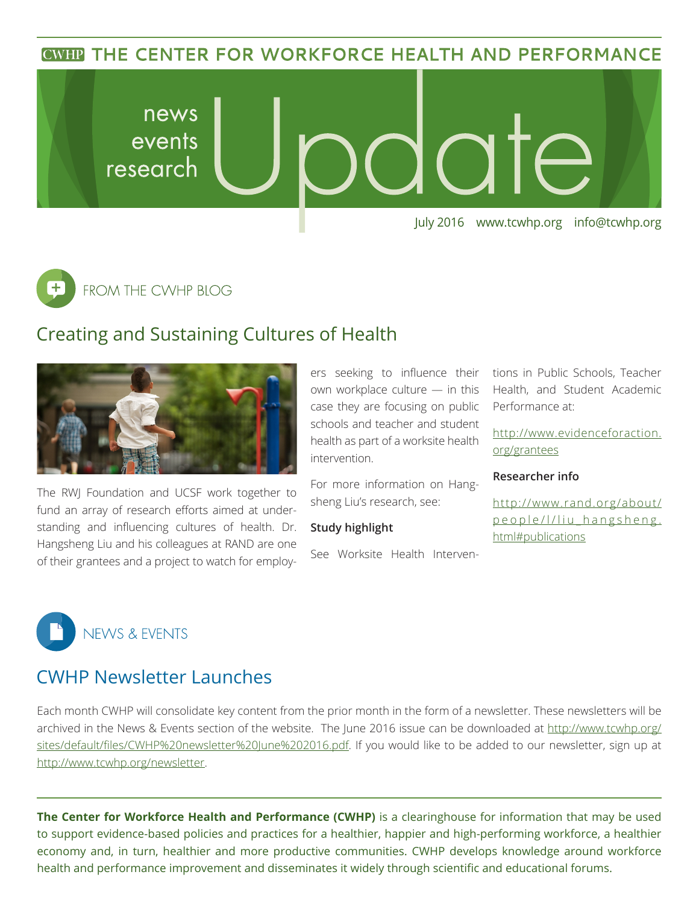### **CWHP THE CENTER FOR WORKFORCE HEALTH AND PERFORMANCE**



 $\overline{\texttt{+}}$ FROM THE CWHP BLOG

## Creating and Sustaining Cultures of Health



The RWJ Foundation and UCSF work together to fund an array of research efforts aimed at understanding and influencing cultures of health. Dr. Hangsheng Liu and his colleagues at RAND are one of their grantees and a project to watch for employers seeking to influence their own workplace culture — in this case they are focusing on public schools and teacher and student health as part of a worksite health intervention.

For more information on Hangsheng Liu's research, see:

#### **Study highlight**

See Worksite Health Interven-

tions in Public Schools, Teacher Health, and Student Academic Performance at:

[http://www.evidenceforaction.](http://www.evidenceforaction.org/grantees) [org/grantees](http://www.evidenceforaction.org/grantees)

#### **Researcher info**

[http://www.rand.org/about/](http://www.rand.org/about/people/l/liu_hangsheng.html#publications) [people/l/liu\\_hangsheng.](http://www.rand.org/about/people/l/liu_hangsheng.html#publications) [html](http://www.rand.org/about/people/l/liu_hangsheng.html#publications)#publications



### CWHP Newsletter Launches

Each month CWHP will consolidate key content from the prior month in the form of a newsletter. These newsletters will be archived in the News & Events section of the website. The June 2016 issue can be downloaded at [http://www.tcwhp.org/](http://www.tcwhp.org/sites/default/files/CWHP%20newsletter%20June%202016.pdf) [sites/default/files/CWHP](http://www.tcwhp.org/sites/default/files/CWHP%20newsletter%20June%202016.pdf)%20newsletter%20June%202016.pdf. If you would like to be added to our newsletter, sign up at <http://www.tcwhp.org/newsletter>.

**The Center for Workforce Health and Performance (CWHP)** is a clearinghouse for information that may be used to support evidence-based policies and practices for a healthier, happier and high-performing workforce, a healthier economy and, in turn, healthier and more productive communities. CWHP develops knowledge around workforce health and performance improvement and disseminates it widely through scientific and educational forums.